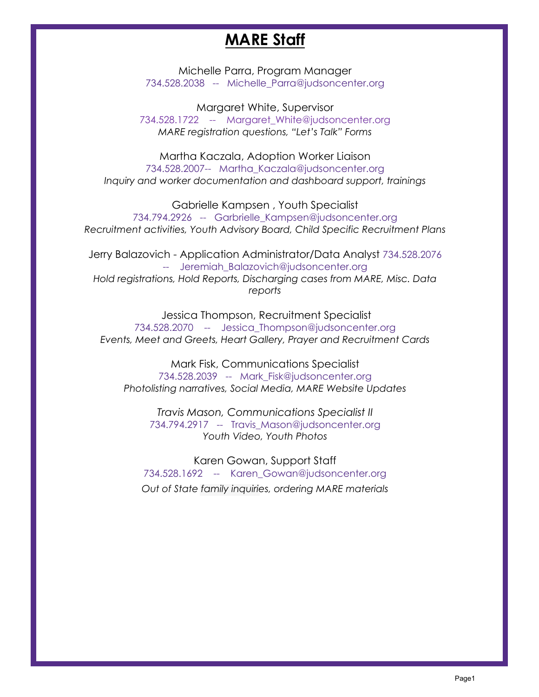## **MARE Staff**

Michelle Parra, Program Manager 734.528.2038 -- Michelle\_Parra@judsoncenter.org

Margaret White, Supervisor 734.528.1722 -- Margaret\_White@judsoncenter.org *MARE registration questions, "Let's Talk" Forms* 

Martha Kaczala, Adoption Worker Liaison 734.528.2007-- Martha\_Kaczala@judsoncenter.org *Inquiry and worker documentation and dashboard support, trainings*

Gabrielle Kampsen , Youth Specialist 734.794.2926 -- Garbrielle\_Kampsen@judsoncenter.org *Recruitment activities, Youth Advisory Board, Child Specific Recruitment Plans*

Jerry Balazovich - Application Administrator/Data Analyst 734.528.2076 -- Jeremiah Balazovich@judsoncenter.org *Hold registrations, Hold Reports, Discharging cases from MARE, Misc. Data reports*

Jessica Thompson, Recruitment Specialist 734.528.2070 -- Jessica\_Thompson@judsoncenter.org *Events, Meet and Greets, Heart Gallery, Prayer and Recruitment Cards* 

Mark Fisk, Communications Specialist 734.528.2039 -- Mark\_Fisk@judsoncenter.org *Photolisting narratives, Social Media, MARE Website Updates*

*Travis Mason, Communications Specialist II* 734.794.2917 -- Travis\_Mason@judsoncenter.org *Youth Video, Youth Photos*

Karen Gowan, Support Staff 734.528.1692 -- Karen\_Gowan@judsoncenter.org *Out of State family inquiries, ordering MARE materials*